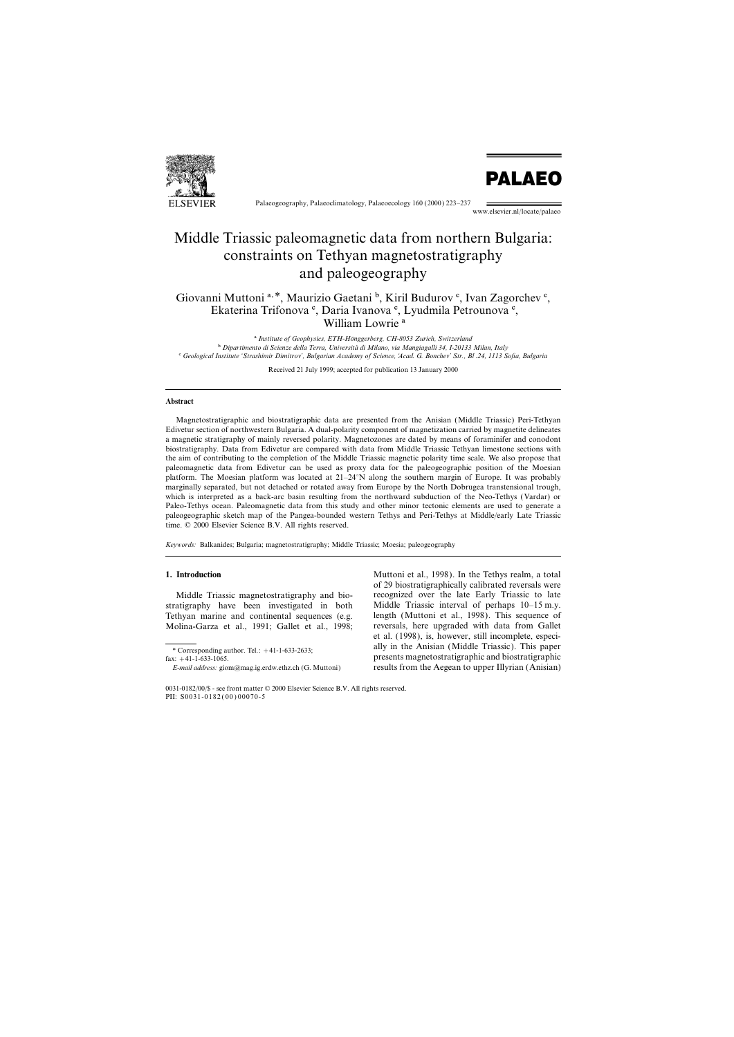

Palaeogeography, Palaeoclimatology, Palaeoecology 160 (2000) 223–237

www.elsevier.nl/locate/palaeo

**PALAEO** 

## Middle Triassic paleomagnetic data from northern Bulgaria: constraints on Tethyan magnetostratigraphy and paleogeography

Giovanni Muttoni<sup>a, \*</sup>, Maurizio Gaetani<sup>b</sup>, Kiril Budurov<sup>c</sup>, Ivan Zagorchev<sup>c</sup>, Ekaterina Trifonova<sup>c</sup>, Daria Ivanova<sup>c</sup>, Lyudmila Petrounova<sup>c</sup>, William Lowrie<sup>a</sup>

<sup>a</sup> Institute of Geophysics, ETH-Hönggerberg, CH-8053 Zurich, Switzerland b *Dipartimento di Scienze della Terra, Universita` di Milano, via Mangiagalli 34, I-20133 Milan, Italy* c *Geological Institute 'Strashimir Dimitrov', Bulgarian Academy of Science, 'Acad. G. Bonchev' Str., Bl .24, 1113 Sofia, Bulgaria*

Received 21 July 1999; accepted for publication 13 January 2000

### **Abstract**

Magnetostratigraphic and biostratigraphic data are presented from the Anisian (Middle Triassic) Peri-Tethyan Edivetur section of northwestern Bulgaria. A dual-polarity component of magnetization carried by magnetite delineates a magnetic stratigraphy of mainly reversed polarity. Magnetozones are dated by means of foraminifer and conodont biostratigraphy. Data from Edivetur are compared with data from Middle Triassic Tethyan limestone sections with the aim of contributing to the completion of the Middle Triassic magnetic polarity time scale. We also propose that paleomagnetic data from Edivetur can be used as proxy data for the paleogeographic position of the Moesian platform. The Moesian platform was located at 21–24°N along the southern margin of Europe. It was probably marginally separated, but not detached or rotated away from Europe by the North Dobrugea transtensional trough, which is interpreted as a back-arc basin resulting from the northward subduction of the Neo-Tethys (Vardar) or Paleo-Tethys ocean. Paleomagnetic data from this study and other minor tectonic elements are used to generate a paleogeographic sketch map of the Pangea-bounded western Tethys and Peri-Tethys at Middle/early Late Triassic time. © 2000 Elsevier Science B.V. All rights reserved.

*Keywords:* Balkanides; Bulgaria; magnetostratigraphy; Middle Triassic; Moesia; paleogeography

stratigraphy have been investigated in both

**1. Introduction** Muttoni et al., 1998). In the Tethys realm, a total of 29 biostratigraphically calibrated reversals were Middle Triassic magnetostratigraphy and bio-<br>
atigraphy have been investigated in both Middle Triassic interval of perhaps 10–15 m.y. Tethyan marine and continental sequences (e.g. length (Muttoni et al., 1998). This sequence of Molina-Garza et al., 1991; Gallet et al., 1998; reversals, here upgraded with data from Gallet et al. (1998), is, however, still incomplete, especi- $\overline{\text{*} \text{Corresponding author. Tel.}: } +41-1-633-2633;$  ally in the Anisian (Middle Triassic). This paper fax: <sup>+</sup>41-1-633-1065. presents magnetostratigraphic and biostratigraphic *E-mail address:* giom@mag.ig.erdw.ethz.ch (G. Muttoni) results from the Aegean to upper Illyrian (Anisian)

<sup>0031-0182</sup>/00/\$ - see front matter © 2000 Elsevier Science B.V. All rights reserved. PII: S0031-0182(00)00070-5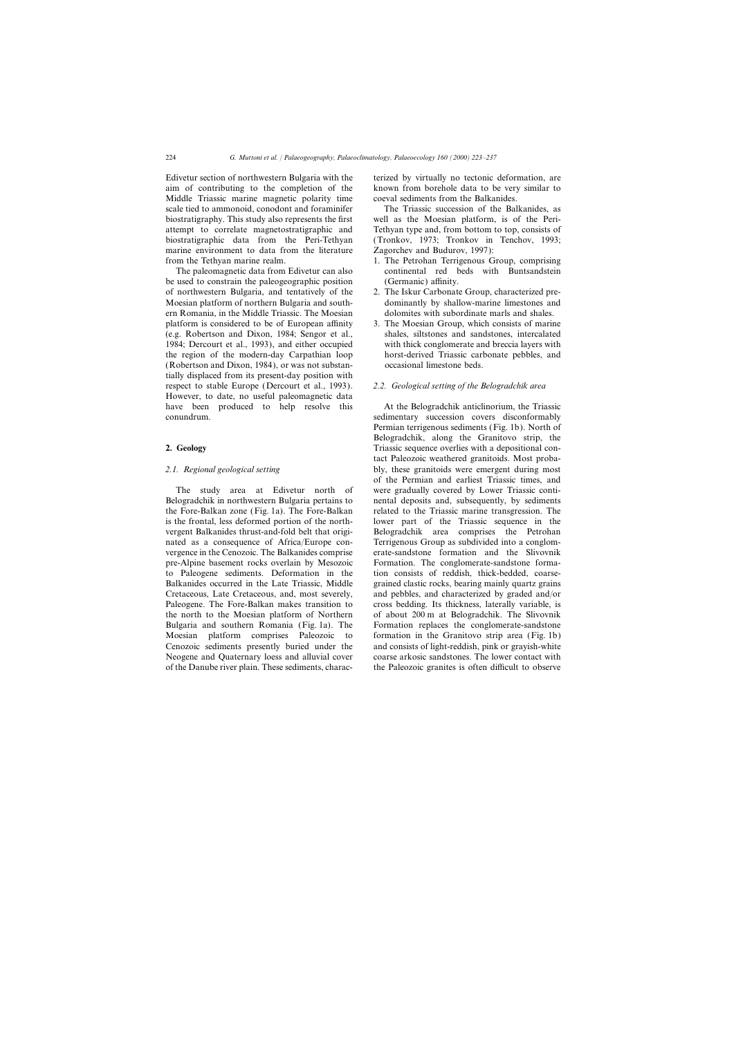Edivetur section of northwestern Bulgaria with the terized by virtually no tectonic deformation, are aim of contributing to the completion of the known from borehole data to be very similar to Middle Triassic marine magnetic polarity time coeval sediments from the Balkanides. scale tied to ammonoid, conodont and foraminifer The Triassic succession of the Balkanides, as biostratigraphy. This study also represents the first well as the Moesian platform, is of the Peribiostratigraphic data from the Peri-Tethyan (Tronkov, 1973; Tronkov in Tenchov, 1993; marine environment to data from the literature Zagorchev and Budurov, 1997): from the Tethyan marine realm. 1. The Petrohan Terrigenous Group, comprising

be used to constrain the paleogeographic position (Germanic) affinity. of northwestern Bulgaria, and tentatively of the 2. The Iskur Carbonate Group, characterized pre-Moesian platform of northern Bulgaria and south- dominantly by shallow-marine limestones and ern Romania, in the Middle Triassic. The Moesian dolomites with subordinate marls and shales. platform is considered to be of European affinity 3. The Moesian Group, which consists of marine (e.g. Robertson and Dixon, 1984; Sengor et al., shales, siltstones and sandstones, intercalated 1984; Dercourt et al., 1993), and either occupied with thick conglomerate and breccia layers with 1984; Dercourt et al., 1993), and either occupied the region of the modern-day Carpathian loop horst-derived Triassic carbonate pebbles, and (Robertson and Dixon, 1984), or was not substan- occasional limestone beds. tially displaced from its present-day position with respect to stable Europe (Dercourt et al., 1993). *2.2. Geological setting of the Belogradchik area* However, to date, no useful paleomagnetic data have been produced to help resolve this At the Belogradchik anticlinorium, the Triassic conundrum. sedimentary succession covers disconformably

Belogradchik in northwestern Bulgaria pertains to nental deposits and, subsequently, by sediments the Fore-Balkan zone (Fig. 1a). The Fore-Balkan related to the Triassic marine transgression. The is the frontal, less deformed portion of the north- lower part of the Triassic sequence in the vergent Balkanides thrust-and-fold belt that origi- Belogradchik area comprises the Petrohan nated as a consequence of Africa/Europe con- Terrigenous Group as subdivided into a conglomvergence in the Cenozoic. The Balkanides comprise erate-sandstone formation and the Slivovnik pre-Alpine basement rocks overlain by Mesozoic Formation. The conglomerate-sandstone formato Paleogene sediments. Deformation in the tion consists of reddish, thick-bedded, coarse-Balkanides occurred in the Late Triassic, Middle grained clastic rocks, bearing mainly quartz grains Cretaceous, Late Cretaceous, and, most severely, and pebbles, and characterized by graded and/or Paleogene. The Fore-Balkan makes transition to cross bedding. Its thickness, laterally variable, is the north to the Moesian platform of Northern of about 200 m at Belogradchik. The Slivovnik Bulgaria and southern Romania (Fig. 1a). The Formation replaces the conglomerate-sandstone Moesian platform comprises Paleozoic to formation in the Granitovo strip area (Fig. 1b) Cenozoic sediments presently buried under the and consists of light-reddish, pink or grayish-white<br>Neogene and Quaternary loess and alluvial cover coarse arkosic sandstones. The lower contact with Neogene and Quaternary loess and alluvial cover of the Danube river plain. These sediments, charac- the Paleozoic granites is often difficult to observe

attempt to correlate magnetostratigraphic and Tethyan type and, from bottom to top, consists of

- The paleomagnetic data from Edivetur can also continental red beds with Buntsandstein
	-
	-

Permian terrigenous sediments (Fig. 1b). North of Belogradchik, along the Granitovo strip, the **2. Geology 2. Geology Triassic sequence overlies with a depositional con**tact Paleozoic weathered granitoids. Most proba-*2.1. Regional geological setting* bly, these granitoids were emergent during most of the Permian and earliest Triassic times, and The study area at Edivetur north of were gradually covered by Lower Triassic conti-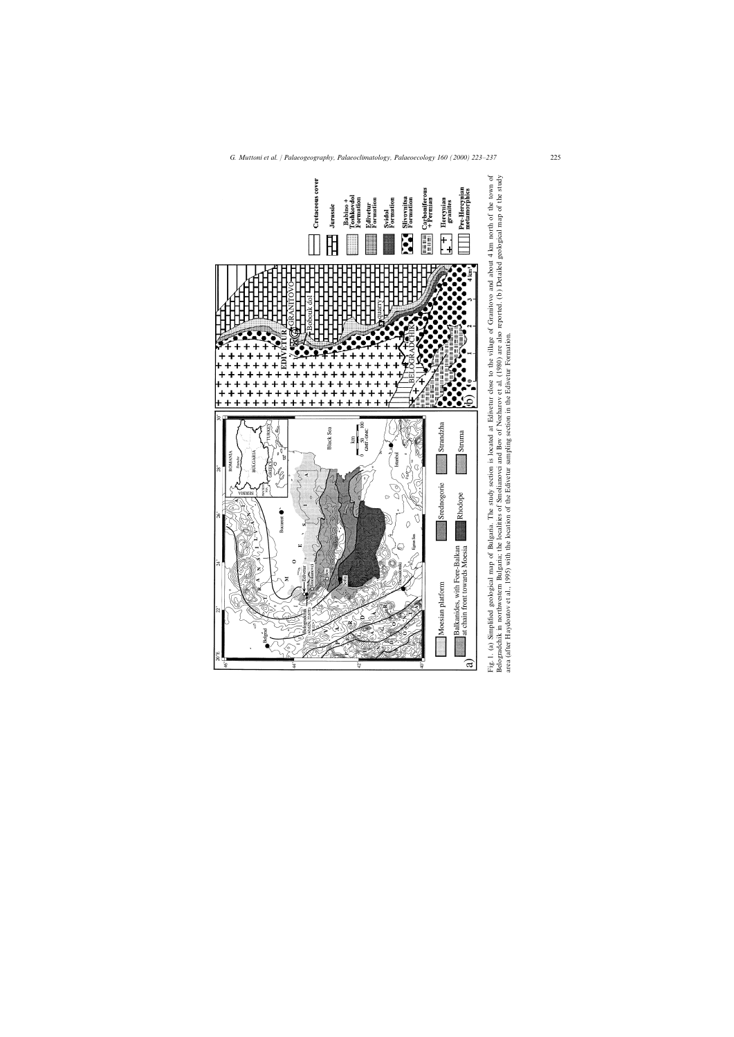

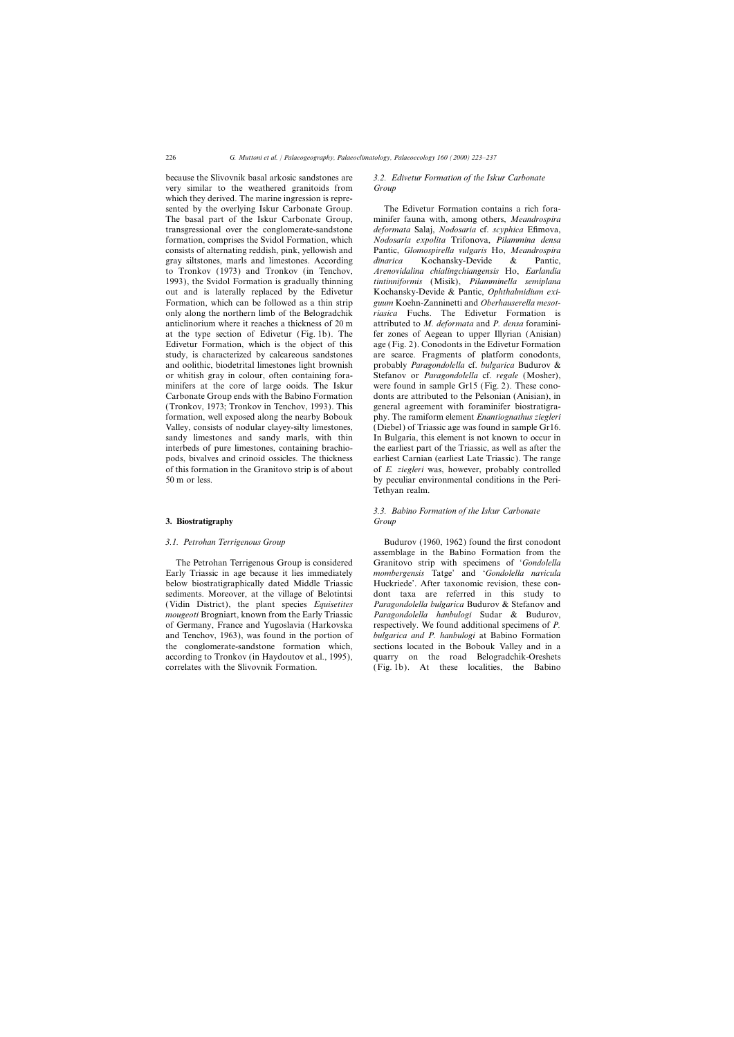very similar to the weathered granitoids from *Group* which they derived. The marine ingression is represented by the overlying Iskur Carbonate Group. The Edivetur Formation contains a rich fora-The basal part of the Iskur Carbonate Group, minifer fauna with, among others, *Meandrospira* transgressional over the conglomerate-sandstone *deformata* Salaj, *Nodosaria* cf. *scyphica* Efimova, formation, comprises the Svidol Formation, which *Nodosaria expolita* Trifonova, *Pilammina densa* consists of alternating reddish, pink, yellowish and Pantic, *Glomospirella vulgaris* Ho, *Meandrospira* gray siltstones, marls and limestones. According *dinarica* Kochansky-Devide & Pantic, to Tronkov (1973) and Tronkov (in Tenchov, *Arenovidalina chialingchiangensis* Ho, *Earlandia* 1993), the Svidol Formation is gradually thinning *tintinniformis* (Misik), *Pilamminella semiplana* out and is laterally replaced by the Edivetur Kochansky-Devide & Pantic, *Ophthalmidium exi-*Formation, which can be followed as a thin strip *guum* Koehn-Zanninetti and *Oberhauserella mesot*only along the northern limb of the Belogradchik *riasica* Fuchs. The Edivetur Formation is anticlinorium where it reaches a thickness of 20 m attributed to *M. deformata* and *P. densa* foraminiat the type section of Edivetur (Fig. 1b). The fer zones of Aegean to upper Illyrian (Anisian) Edivetur Formation, which is the object of this age (Fig. 2). Conodonts in the Edivetur Formation study, is characterized by calcareous sandstones are scarce. Fragments of platform conodonts, and oolithic, biodetrital limestones light brownish probably *Paragondolella* cf. *bulgarica* Budurov & or whitish gray in colour, often containing for all Stefanov or *Paragondolella* cf. *regale* (Mosher), or whitish gray in colour, often containing foraminifers at the core of large ooids. The Iskur were found in sample Gr15 (Fig. 2). These cono-<br>Carbonate Group ends with the Babino Formation donts are attributed to the Pelsonian (Anisian), in Carbonate Group ends with the Babino Formation (Tronkov, 1973; Tronkov in Tenchov, 1993). This general agreement with foraminifer biostratigraformation, well exposed along the nearby Bobouk phy. The ramiform element *Enantiognathus ziegleri* Valley, consists of nodular clayey-silty limestones, (Diebel ) of Triassic age was found in sample Gr16. sandy limestones and sandy marls, with thin In Bulgaria, this element is not known to occur in interbeds of pure limestones, containing brachio-<br>the earliest part of the Triassic, as well as after the pods, bivalves and crinoid ossicles. The thickness earliest Carnian (earliest Late Triassic). The range of this formation in the Granitovo strip is of about of *E. ziegleri* was, however, probably controlled 50 m or less. by peculiar environmental conditions in the Peri-

### **3. Biostratigraphy** *Group*

Early Triassic in age because it lies immediately *mombergensis* Tatge' and '*Gondolella navicula* below biostratigraphically dated Middle Triassic Huckriede'. After taxonomic revision, these consediments. Moreover, at the village of Belotintsi dont taxa are referred in this study to (Vidin District), the plant species *Equisetites Paragondolella bulgarica* Budurov & Stefanov and *mougeoti* Brogniart, known from the Early Triassic *Paragondolella hanbulogi* Sudar & Budurov, of Germany, France and Yugoslavia (Harkovska respectively. We found additional specimens of *P.* and Tenchov, 1963), was found in the portion of *bulgarica and P. hanbulogi* at Babino Formation the conglomerate-sandstone formation which, sections located in the Bobouk Valley and in a the conglomerate-sandstone formation which, according to Tronkov (in Haydoutov et al., 1995), quarry on the road Belogradchik-Oreshets<br>correlates with the Slivovnik Formation. (Fig. 1b). At these localities, the Babino

## because the Slivovnik basal arkosic sandstones are *3.2. Edivetur Formation of the Iskur Carbonate*

the earliest part of the Triassic, as well as after the Tethyan realm.

# *3.3. Babino Formation of the Iskur Carbonate*

*3.1. Petrohan Terrigenous Group* Budurov (1960, 1962) found the first conodont assemblage in the Babino Formation from the The Petrohan Terrigenous Group is considered Granitovo strip with specimens of '*Gondolella*  $(Fig. 1b)$ . At these localities, the Babino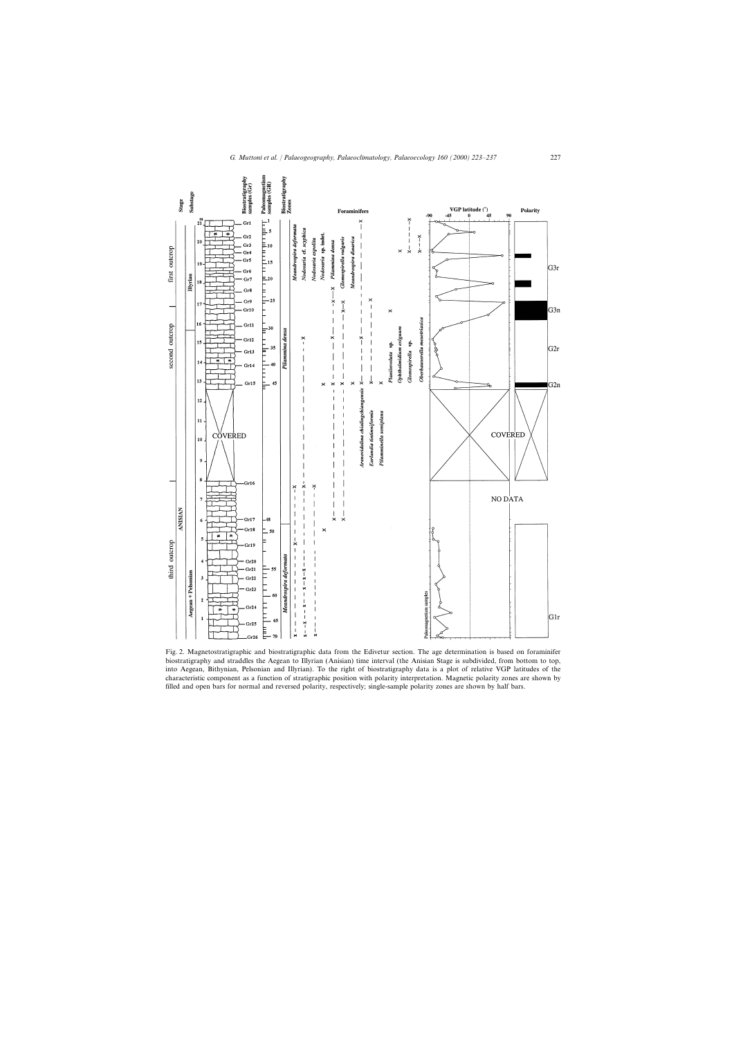

Fig. 2. Magnetostratigraphic and biostratigraphic data from the Edivetur section. The age determination is based on foraminifer biostratigraphy and straddles the Aegean to Illyrian (Anisian) time interval (the Anisian Stage is subdivided, from bottom to top, into Aegean, Bithynian, Pelsonian and Illyrian). To the right of biostratigraphy data is a plot of relative VGP latitudes of the characteristic component as a function of stratigraphic position with polarity interpretation. Magnetic polarity zones are shown by filled and open bars for normal and reversed polarity, respectively; single-sample polarity zones are shown by half bars.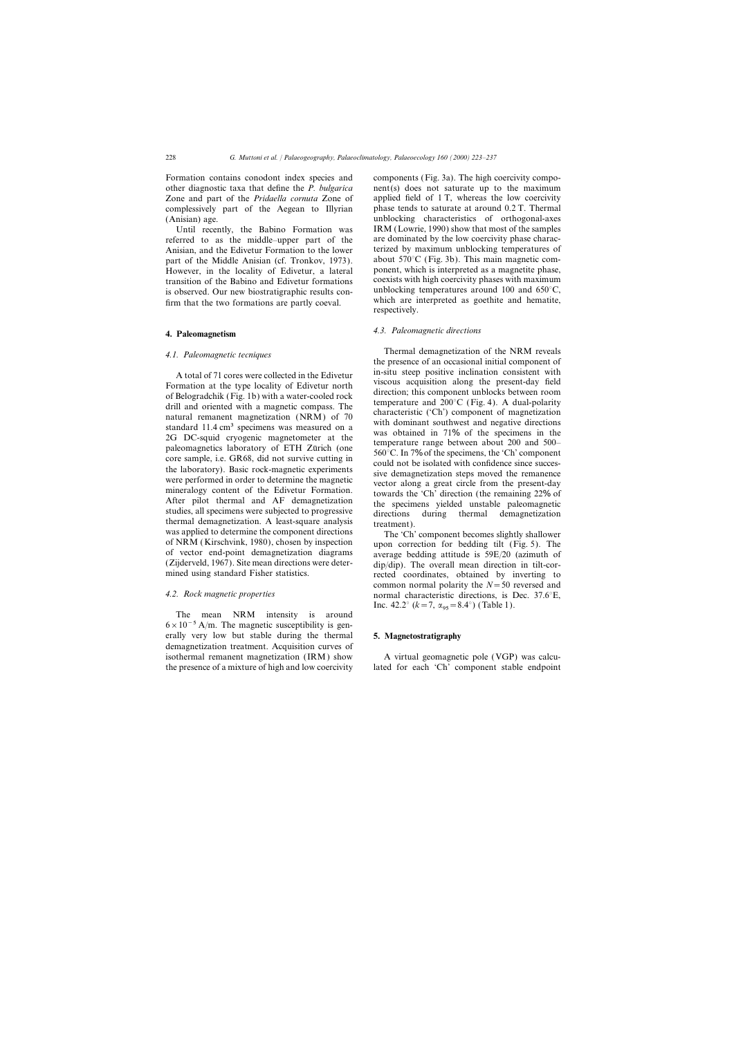other diagnostic taxa that define the *P. bulgarica* nent(s) does not saturate up to the maximum<br>Zone and part of the *Pridaella cornuta* Zone of applied field of 1 T, whereas the low coercivity Zone and part of the *Pridaella cornuta* Zone of applied field of 1 T, whereas the low coercivity complessively part of the Aegean to Illyrian phase tends to saturate at around 0.2 T. Thermal complessively part of the Aegean to Illyrian

referred to as the middle–upper part of the are dominated by the low coercivity phase charac-<br>Anisian, and the Edivetur Formation to the lower terized by maximum unblocking temperatures of Anisian, and the Edivetur Formation to the lower terized by maximum unblocking temperatures of part of the Middle Anisian (cf. Tronkov, 1973) about 570°C (Fig. 3b). This main magnetic compart of the Middle Anisian (cf. Tronkov, 1973). about  $570^{\circ}$ C (Fig. 3b). This main magnetic com-<br>However in the locality of Edivetur a lateral ponent, which is interpreted as a magnetite phase, However, in the locality of Edivetur, a lateral ponent, which is interpreted as a magnetite phase,<br>transition of the Babino and Edivetur formations coexists with high coercivity phases with maximum transition of the Babino and Edivetur formations coexists with high coercivity phases with maximum<br>is observed. Our new biostrationalise results con-<br>unblocking temperatures around 100 and 650°C.

Formation at the type locality of Edivetur north<br>of Belogradchik (Fig. 1b) with a water-cooled rock<br>direction; this component unblocks between room<br>drill and oriented with a magnetic compass. The<br>natural remanent magnetiz After pilot thermal and AF demagnetization<br>
studies, all specimens were subjected to progressive<br>
thermal demagnetization. A least-square analysis<br>
was applied to determine the component directions<br>
of NRM (Kirschvink, 198 (Zijderveld, 1967). Site mean directions were deter- dip/dip). The overall mean direction in tilt-cor-

The mean NRM intensity is around  $6 \times 10^{-5}$  A/m. The magnetic susceptibility is generally very low but stable during the thermal **5. Magnetostratigraphy** demagnetization treatment. Acquisition curves of isothermal remanent magnetization (IRM) show A virtual geomagnetic pole (VGP) was calcu-

Formation contains conodont index species and components (Fig. 3a). The high coercivity compo-<br>other diagnostic taxa that define the *P. bulgarica* nent(s) does not saturate up to the maximum (Anisian) age.<br>Intil recently, the Babino Formation was IRM (Lowrig, 1990) show that most of the samples Until recently, the Babino Formation was IRM (Lowrie, 1990) show that most of the samples<br>
erred to as the middle-upper part of the are dominated by the low coercivity phase characis observed. Our new biostratigraphic results con-<br>firm that the two formations are partly coeval. which are interpreted as goethite and hematite, respectively.

## *4.3. Paleomagnetic directions* **4. Paleomagnetism**

*4.1. Paleomagnetic tecniques* Thermal demagnetization of the NRM reveals the presence of an occasional initial component of A total of 71 cores were collected in the Edivetur in-situ steep positive inclination consistent with  $\frac{1}{2}$  with  $\frac{1}{2}$  in  $\frac{1}{2}$  is  $\frac{1}{2}$  is  $\frac{1}{2}$  is  $\frac{1}{2}$  is  $\frac{1}{2}$  is  $\frac{1}{2}$  is  $\frac{1}{2}$  is

rected coordinates, obtained by inverting to common normal polarity the *N*=50 reversed and *4.2. Rock magnetic properties* normal characteristic directions, is Dec. 37.6°E, Inc.  $42.2^{\circ}$  ( $k=7$ ,  $\alpha_{95}=8.4^{\circ}$ ) (Table 1).

the presence of a mixture of high and low coercivity lated for each 'Ch' component stable endpoint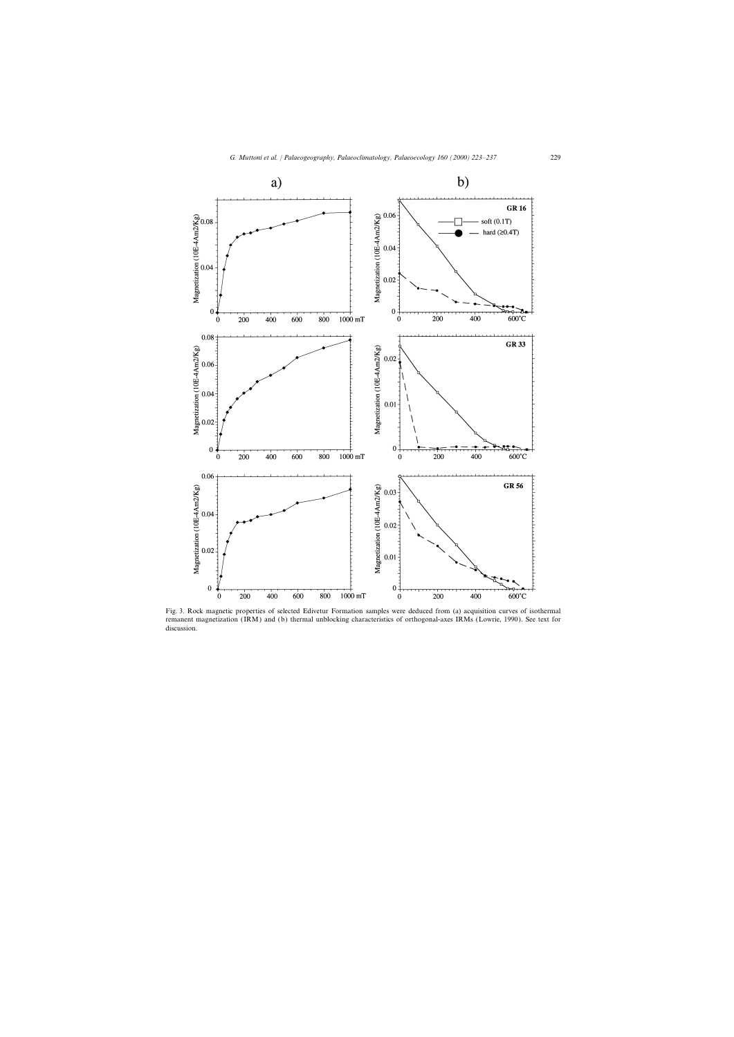

Fig. 3. Rock magnetic properties of selected Edivetur Formation samples were deduced from (a) acquisition curves of isothermal remanent magnetization (IRM) and (b) thermal unblocking characteristics of orthogonal-axes IRMs (Lowrie, 1990). See text for discussion.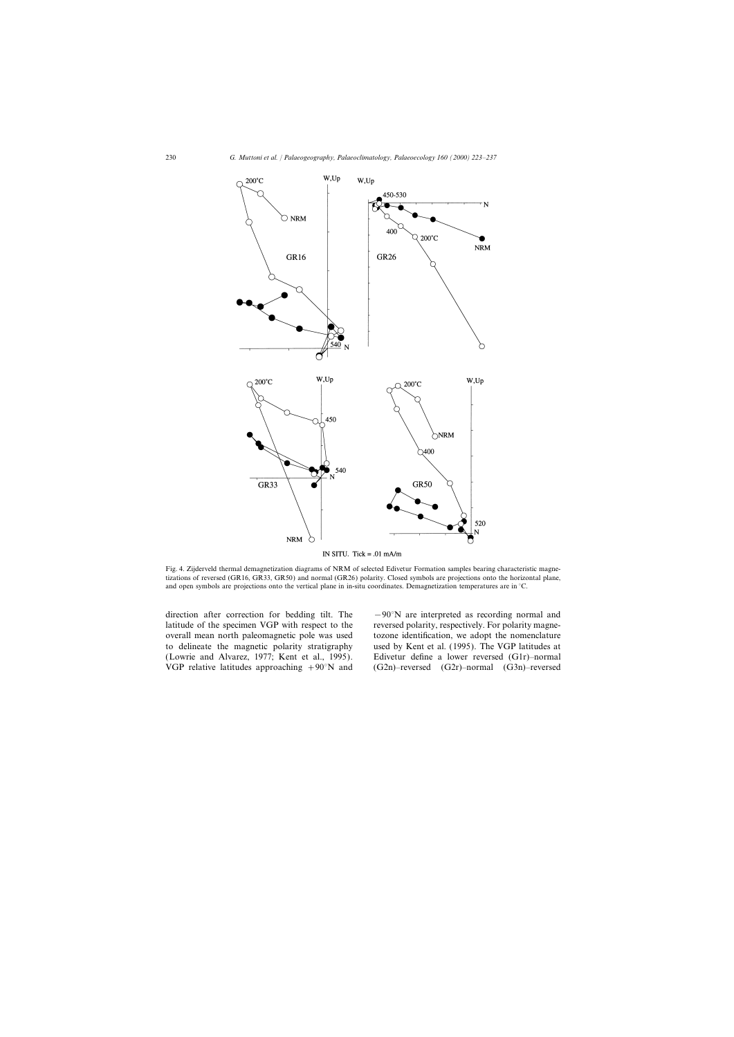

IN SITU. Tick = .01 mA/m

Fig. 4. Zijderveld thermal demagnetization diagrams of NRM of selected Edivetur Formation samples bearing characteristic magnetizations of reversed (GR16, GR33, GR50) and normal (GR26) polarity. Closed symbols are projections onto the horizontal plane, and open symbols are projections onto the vertical plane in in-situ coordinates. Demagnetization temperatures are in °C.

latitude of the specimen VGP with respect to the reversed polarity, respectively. For polarity magneoverall mean north paleomagnetic pole was used tozone identification, we adopt the nomenclature to delineate the magnetic polarity stratigraphy used by Kent et al. (1995). The VGP latitudes at (Lowrie and Alvarez, 1977; Kent et al., 1995). Edivetur define a lower reversed (G1r)–normal VGP relative latitudes approaching  $+90^{\circ}N$  and (G2n)–reversed (G2r)–normal (G3n)–reversed

direction after correction for bedding tilt. The  $-90^{\circ}$ N are interpreted as recording normal and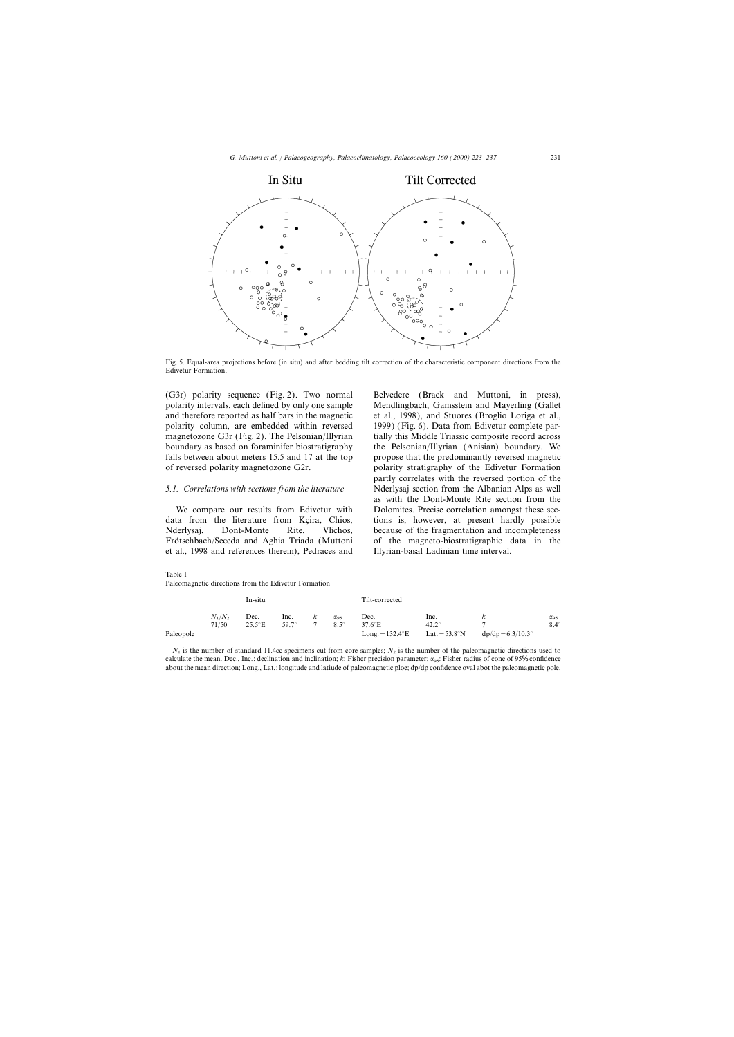

Fig. 5. Equal-area projections before (in situ) and after bedding tilt correction of the characteristic component directions from the Edivetur Formation.

(G3r) polarity sequence (Fig. 2). Two normal Belvedere (Brack and Muttoni, in press), and therefore reported as half bars in the magnetic et al., 1998), and Stuores (Broglio Loriga et al., polarity column, are embedded within reversed 1999) (Fig. 6). Data from Edivetur complete parmagnetozone G3r (Fig. 2). The Pelsonian/Illyrian tially this Middle Triassic composite record across boundary as based on foraminifer biostratigraphy the Pelsonian/Illyrian (Anisian) boundary. We falls between about meters 15.5 and 17 at the top propose that the predominantly reversed magnetic of reversed polarity magnetozone G2r. polarity stratigraphy of the Edivetur Formation

data from the literature from Kçira, Chios, tions is, however, at present hardly possible Nderlysaj, Dont-Monte Rite, Vlichos, because of the fragmentation and incompleteness Frötschbach/Seceda and Aghia Triada (Muttoni of the magneto-biostratigraphic data in the et al., 1998 and references therein), Pedraces and Illyrian-basal Ladinian time interval.

polarity intervals, each defined by only one sample Mendlingbach, Gamsstein and Mayerling (Gallet partly correlates with the reversed portion of the *5.1. Correlations with sections from the literature* Nderlysaj section from the Albanian Alps as well as with the Dont-Monte Rite section from the We compare our results from Edivetur with Dolomites. Precise correlation amongst these sec-

| ີ         |                    |                         |                      |        |                              |                                                            |                                               |                                 |                              |
|-----------|--------------------|-------------------------|----------------------|--------|------------------------------|------------------------------------------------------------|-----------------------------------------------|---------------------------------|------------------------------|
|           | In-situ            |                         |                      |        |                              | Tilt-corrected                                             |                                               |                                 |                              |
| Paleopole | $N_1/N_2$<br>71/50 | Dec.<br>$25.5^{\circ}E$ | Inc.<br>$59.7^\circ$ | ĸ<br>7 | $\alpha_{95}$<br>$8.5^\circ$ | Dec.<br>$37.6^{\circ}$ E<br>Long. $= 132.4$ <sup>o</sup> E | Inc.<br>$42.2^\circ$<br>Lat. $= 53.8^\circ$ N | k<br>$dp/dp = 6.3/10.3^{\circ}$ | $\alpha_{95}$<br>$8.4^\circ$ |

Table 1 Paleomagnetic directions from the Edivetur Formation

 $N_1$  is the number of standard 11.4cc specimens cut from core samples;  $N_2$  is the number of the paleomagnetic directions used to calculate the mean. Dec., Inc.: declination and inclination; *k*: Fisher precision parameter; a <sup>95</sup>: Fisher radius of cone of 95% confidence about the mean direction; Long., Lat.: longitude and latiude of paleomagnetic ploe; dp/dp confidence oval abot the paleomagnetic pole.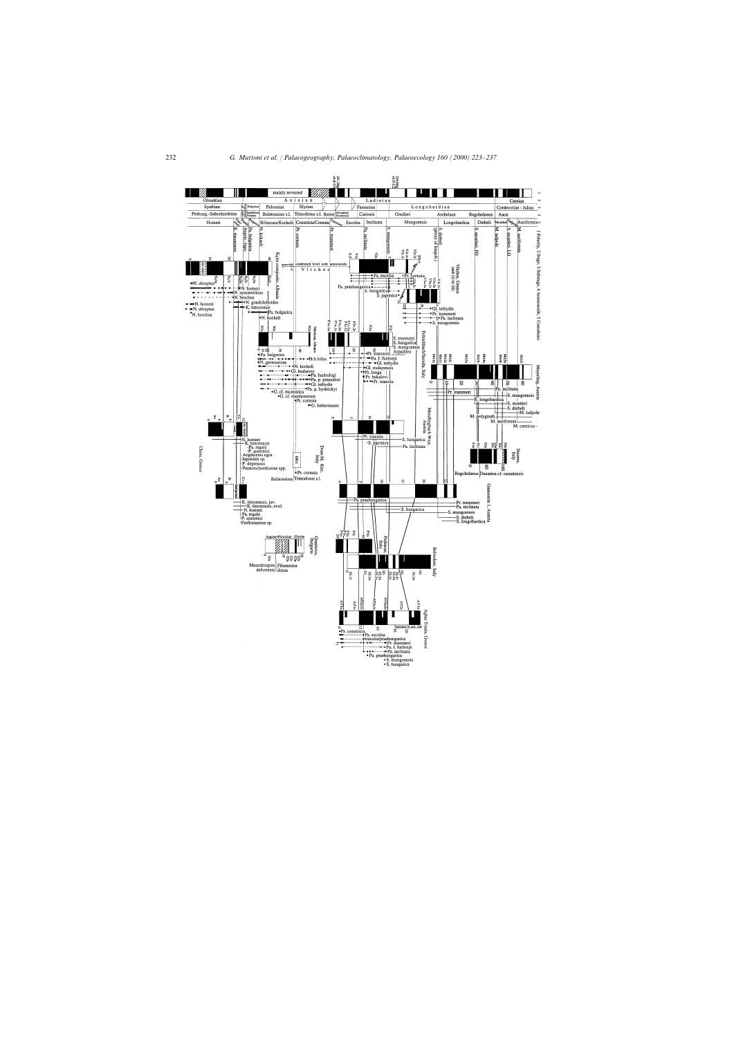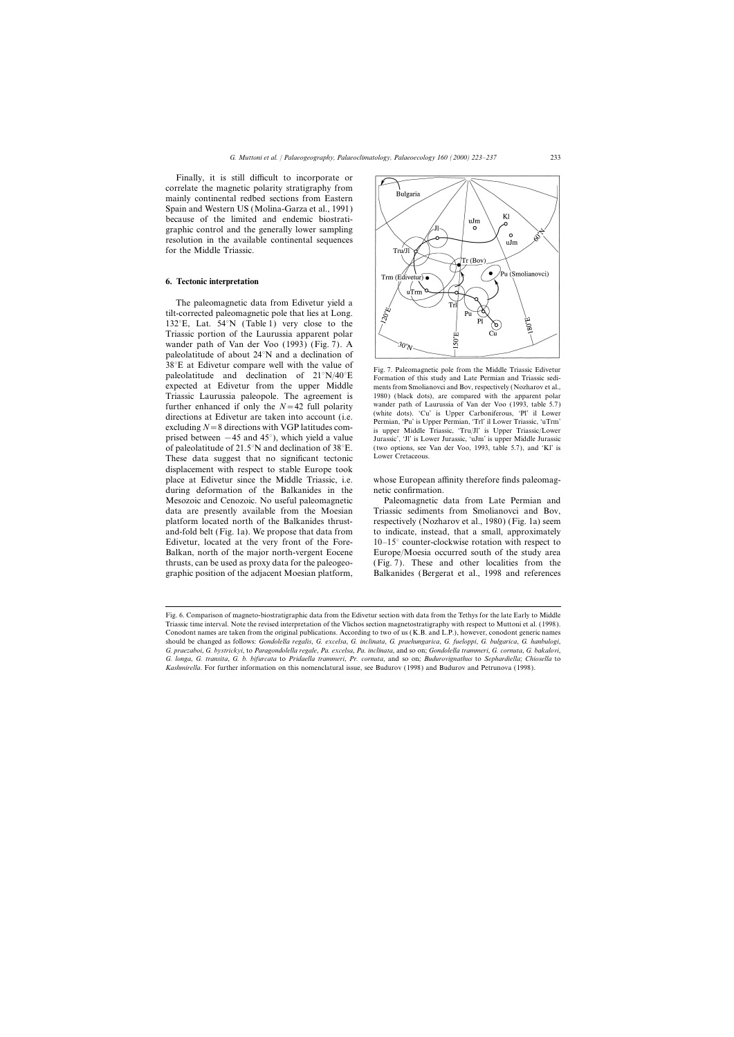Finally, it is still difficult to incorporate or correlate the magnetic polarity stratigraphy from mainly continental redbed sections from Eastern Spain and Western US (Molina-Garza et al., 1991) because of the limited and endemic biostratigraphic control and the generally lower sampling resolution in the available continental sequences for the Middle Triassic.

## **6. Tectonic interpretation**

The paleomagnetic data from Edivetur yield a tilt-corrected paleomagnetic pole that lies at Long. 132°E, Lat. 54°N (Table 1) very close to the Triassic portion of the Laurussia apparent polar wander path of Van der Voo (1993) (Fig. 7). A paleolatitude of about 24°N and a declination of 38°E at Edivetur compare well with the value of Fig. 7. Paleomagnetic pole from the Middle Triassic Edivetur paleolatitude and declination of  $21^{\circ}N/40^{\circ}E$  Formation of this study and Late Permian and Triassic sedi-<br>e Triassic Laurussia paleopole. The agreement is 1980) (black dots), are compared with the apparent polar further enhanced if only the  $N=42$  full polarity wander path of Laurussia of Van der Voo (1993, table 5.7) further enhanced if only the  $N=42$  full polarity<br>directions at Edivetur are taken into account (i.e.<br>excluding  $N=8$  directions with VGP latitudes com-<br>prised between  $-45$  and  $45^{\circ}$ ), which yield a value<br> $\frac{1}{2}$  va of paleolatitude of  $21.5^\circ$ N and declination of  $38^\circ$ E. (two options, see Van der Voor, 1993, 1993, table 5.7), and the form of  $\alpha$ These data suggest that no significant tectonic displacement with respect to stable Europe took place at Edivetur since the Middle Triassic, i.e. whose European affinity therefore finds paleomagduring deformation of the Balkanides in the netic confirmation. Mesozoic and Cenozoic. No useful paleomagnetic Paleomagnetic data from Late Permian and



ments from Smolianovci and Bov, respectively (Nozharov et al., Jurassic', 'Jl' is Lower Jurassic, 'uJm' is upper Middle Jurassic (two options, see Van der Voo, 1993, table 5.7), and 'Kl' is

data are presently available from the Moesian Triassic sediments from Smolianovci and Bov, platform located north of the Balkanides thrust- respectively (Nozharov et al., 1980) (Fig. 1a) seem and-fold belt (Fig. 1a). We propose that data from to indicate, instead, that a small, approximately Edivetur, located at the very front of the Fore-  $10-15^{\circ}$  counter-clockwise rotation with respect to Balkan, north of the major north-vergent Eocene Europe/Moesia occurred south of the study area thrusts, can be used as proxy data for the paleogeo- (Fig. 7). These and other localities from the graphic position of the adjacent Moesian platform, Balkanides (Bergerat et al., 1998 and references

Fig. 6. Comparison of magneto-biostratigraphic data from the Edivetur section with data from the Tethys for the late Early to Middle Triassic time interval. Note the revised interpretation of the Vlichos section magnetostratigraphy with respect to Muttoni et al. (1998). Conodont names are taken from the original publications. According to two of us (K.B. and L.P.), however, conodont generic names should be changed as follows: *Gondolella regalis*, *G. excelsa*, *G. inclinata*, *G. praehungarica*, *G. fueloppi*, *G. bulgarica*, *G. hanbulogi*, *G. praezaboi*, *G. bystrickyi*, to *Paragondolella regale*, *Pa. excelsa*, *Pa. inclinata*, and so on; *Gondolella trammeri*, *G. cornuta*, *G. bakalovi*, *G. longa*, *G. transita*, *G. b. bifurcata* to *Pridaella trammeri*, *Pr. cornuta*, and so on; *Budurovignathus* to *Sephardiella*; *Chiosella* to *Kashmirella*. For further information on this nomenclatural issue, see Budurov (1998) and Budurov and Petrunova (1998).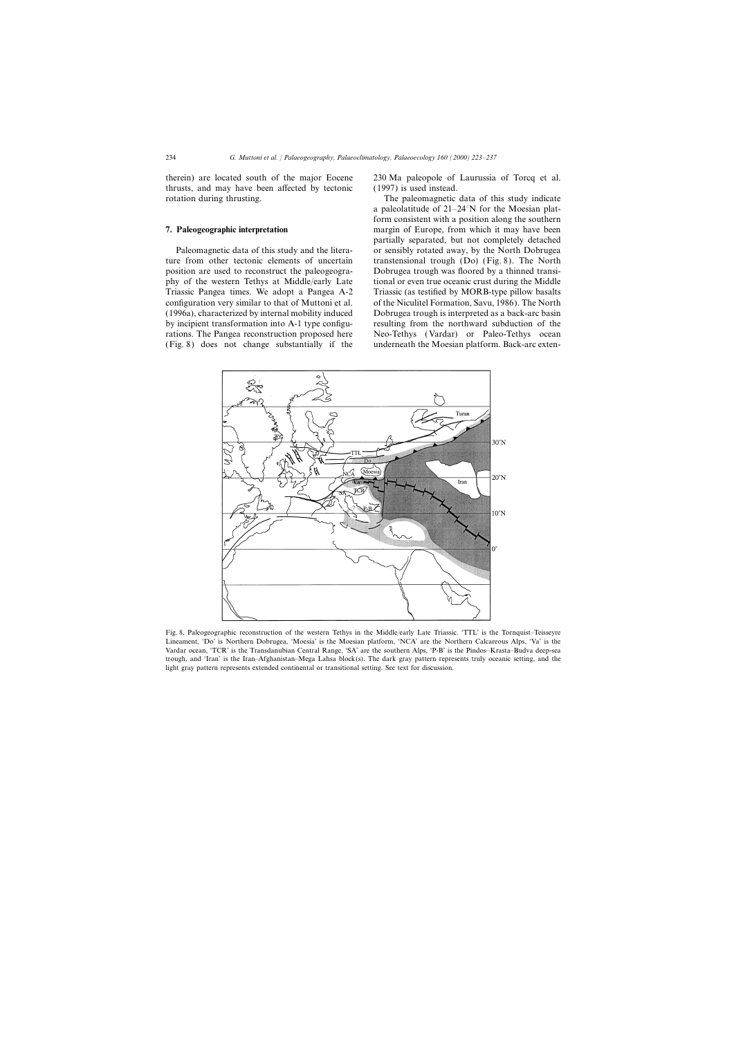therein) are located south of the major Eocene 230 Ma paleopole of Laurussia of Torcq et al. thrusts, and may have been affected by tectonic (1997) is used instead. rotation during thrusting. The paleomagnetic data of this study indicate

ture from other tectonic elements of uncertain transtensional trough (Do) (Fig. 8). The North position are used to reconstruct the paleogeogra- Dobrugea trough was floored by a thinned transiphy of the western Tethys at Middle/early Late tional or even true oceanic crust during the Middle Triassic Pangea times. We adopt a Pangea A-2 Triassic (as testified by MORB-type pillow basalts configuration very similar to that of Muttoni et al. of the Niculitel Formation, Savu, 1986). The North (1996a), characterized by internal mobility induced Dobrugea trough is interpreted as a back-arc basin by incipient transformation into A-1 type configu- resulting from the northward subduction of the rations. The Pangea reconstruction proposed here Neo-Tethys ( Vardar) or Paleo-Tethys ocean (Fig. 8) does not change substantially if the underneath the Moesian platform. Back-arc exten-

a paleolatitude of 21–24°N for the Moesian platform consistent with a position along the southern **7. Paleogeographic interpretation** margin of Europe, from which it may have been partially separated, but not completely detached Paleomagnetic data of this study and the litera- or sensibly rotated away, by the North Dobrugea



Fig. 8. Paleogeographic reconstruction of the western Tethys in the Middle/early Late Triassic. 'TTL' is the Tornquist–Teisseyre Lineament, 'Do' is Northern Dobrugea, 'Moesia' is the Moesian platform, 'NCA' are the Northern Calcareous Alps, 'Va' is the Vardar ocean, 'TCR' is the Transdanubian Central Range, 'SA' are the southern Alps, 'P-B' is the Pindos–Krasta–Budva deep-sea trough, and 'Iran' is the Iran–Afghanistan–Mega Lahsa block(s). The dark gray pattern represents truly oceanic setting, and the light gray pattern represents extended continental or transitional setting. See text for discussion.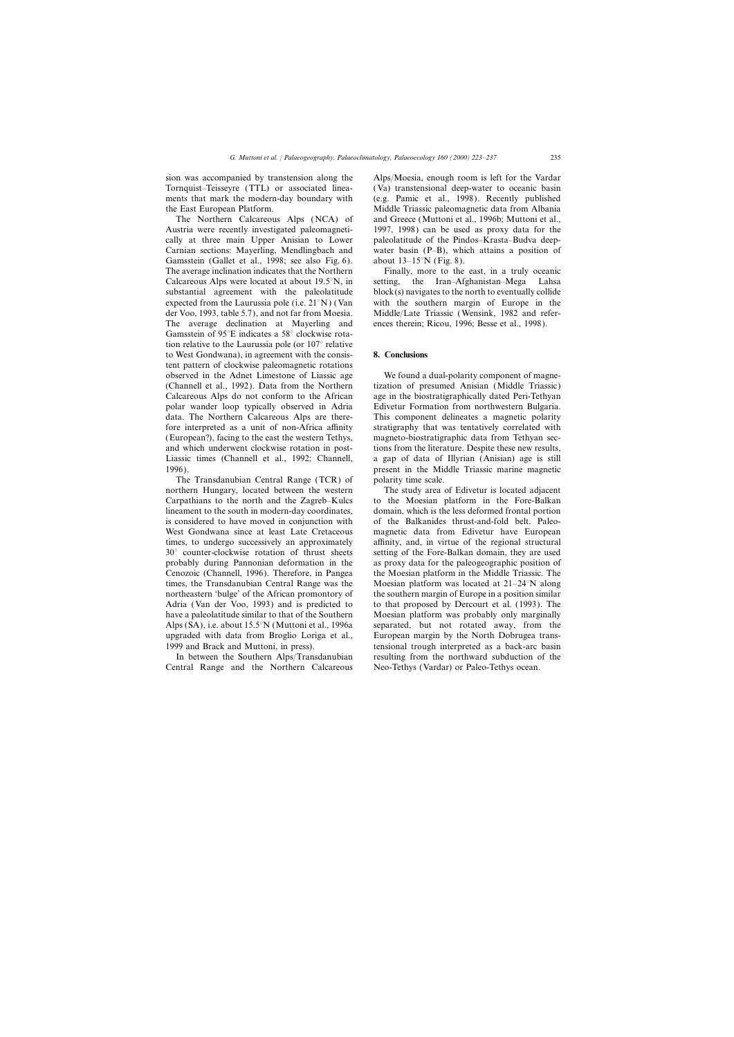sion was accompanied by transtension along the Alps/Moesia, enough room is left for the Vardar Tornquist–Teisseyre (TTL) or associated linea- ( Va) transtensional deep-water to oceanic basin ments that mark the modern-day boundary with (e.g. Pamic et al., 1998). Recently published

Austria were recently investigated paleomagneti- 1997, 1998) can be used as proxy data for the cally at three main Upper Anisian to Lower paleolatitude of the Pindos–Krasta–Budva deep-Carnian sections: Mayerling, Mendlingbach and water basin (P–B), which attains a position of Gamsstein (Gallet et al., 1998; see also Fig. 6). about  $13-15^\circ N$  (Fig. 8). The average inclination indicates that the Northern Finally, more to the east, in a truly oceanic Calcareous Alps were located at about 19.5°N, in setting, the Iran–Afghanistan–Mega Lahsa substantial agreement with the paleolatitude block(s) navigates to the north to eventually collide expected from the Laurussia pole (i.e.  $21^{\circ}$ N) (Van with the southern margin of Europe in the der Voo, 1993, table 5.7), and not far from Moesia. Middle/Late Triassic ( Wensink, 1982 and refer-The average declination at Mayerling and ences therein; Ricou, 1996; Besse et al., 1998). Gamsstein of 95°E indicates a 58° clockwise rotation relative to the Laurussia pole (or 107° relative to West Gondwana), in agreement with the consis- **8. Conclusions** tent pattern of clockwise paleomagnetic rotations observed in the Adnet Limestone of Liassic age We found a dual-polarity component of magne- (Channell et al., 1992). Data from the Northern tization of presumed Anisian (Middle Triassic) Calcareous Alps do not conform to the African age in the biostratigraphically dated Peri-Tethyan polar wander loop typically observed in Adria Edivetur Formation from northwestern Bulgaria. data. The Northern Calcareous Alps are there- This component delineates a magnetic polarity fore interpreted as a unit of non-Africa affinity stratigraphy that was tentatively correlated with (European?), facing to the east the western Tethys, magneto-biostratigraphic data from Tethyan secand which underwent clockwise rotation in post- tions from the literature. Despite these new results, Liassic times (Channell et al., 1992; Channell, a gap of data of Illyrian (Anisian) age is still 1996). present in the Middle Triassic marine magnetic

The Transdanubian Central Range (TCR) of polarity time scale. northern Hungary, located between the western The study area of Edivetur is located adjacent Carpathians to the north and the Zagreb–Kulcs to the Moesian platform in the Fore-Balkan lineament to the south in modern-day coordinates, domain, which is the less deformed frontal portion is considered to have moved in conjunction with of the Balkanides thrust-and-fold belt. Paleo-West Gondwana since at least Late Cretaceous magnetic data from Edivetur have European times, to undergo successively an approximately affinity, and, in virtue of the regional structural 30° counter-clockwise rotation of thrust sheets setting of the Fore-Balkan domain, they are used probably during Pannonian deformation in the as proxy data for the paleogeographic position of Cenozoic (Channell, 1996). Therefore, in Pangea the Moesian platform in the Middle Triassic. The times, the Transdanubian Central Range was the Moesian platform was located at  $21-24°N$  along northeastern 'bulge' of the African promontory of the southern margin of Europe in a position similar Adria (Van der Voo, 1993) and is predicted to to that proposed by Dercourt et al. (1993). The have a paleolatitude similar to that of the Southern Moesian platform was probably only marginally Alps (SA), i.e. about 15.5°N (Muttoni et al., 1996a separated, but not rotated away, from the upgraded with data from Broglio Loriga et al., European margin by the North Dobrugea trans-1999 and Brack and Muttoni, in press). tensional trough interpreted as a back-arc basin

Central Range and the Northern Calcareous Neo-Tethys (Vardar) or Paleo-Tethys ocean.

the East European Platform. Middle Triassic paleomagnetic data from Albania The Northern Calcareous Alps (NCA) of and Greece (Muttoni et al., 1996b; Muttoni et al.,

In between the Southern Alps/Transdanubian resulting from the northward subduction of the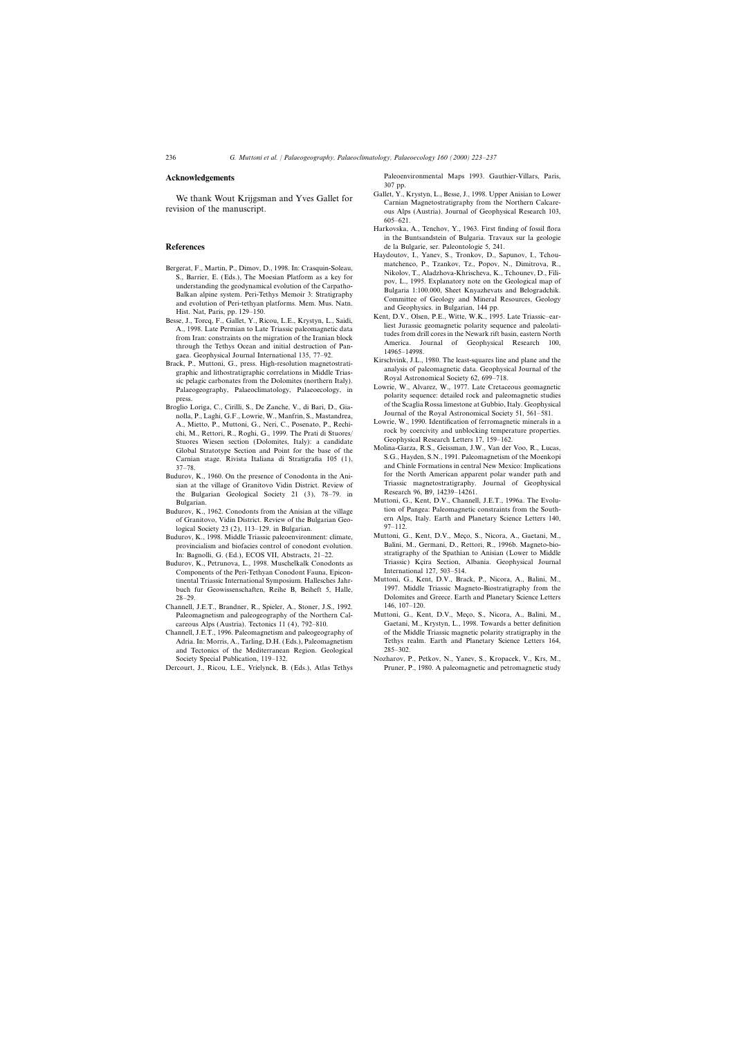- matchenco, P., Tzankov, Tz., Popov, N., Dimitrova, R., Bergerat, F., Martin, P., Dimov, D., 1998. In: Crasquin-Soleau, Nikolov, T., Aladzhova-Khrischeva, K., Tchounev, D., Fili- S., Barrier, E. (Eds.), The Moesian Platform as a key for pov, L., 1995. Explanatory note on the Geological map of understanding the geodynamical evolution of the Carpatho- Bulgaria 1:100.000, Sheet Knyazhevats and Belogradchik. Balkan alpine system. Peri-Tethys Memoir 3: Stratigraphy Committee of Geology and Mineral Resources, Geology and evolution of Peri-tethyan platforms. Mem. Mus. Natn. and Geophysics. in Bulgarian, 144 pp. Hist. Nat, Paris, pp. 129–150. Kent, D.V., Olsen, P.E., Witte, W.K., 1995. Late Triassic–ear- Besse, J., Torcq, F., Gallet, Y., Ricou, L.E., Krystyn, L., Saidi, liest Jurassic geomagnetic polarity sequence and paleolati- A., 1998. Late Permian to Late Triassic paleomagnetic data tudes from drill cores in the Newark rift basin, eastern North from Iran: constraints on the migration of the Iranian block America. Journal of Geophysical Research 100, through the Tethys Ocean and initial destruction of Pan- 14965–14998. gaea. Geophysical Journal International 135, 77–92. Kirschvink, J.L., 1980. The least-squares line and plane and the Brack, P., Muttoni, G., press. High-resolution magnetostrati- analysis of paleomagnetic data. Geophysical Journal of the graphic and lithostratigraphic correlations in Middle Trias- Royal Astronomical Society 62, 699–718. sic pelagic carbonates from the Dolomites (northern Italy). Lowrie, W., Alvarez, W., 1977. Late Cretaceous geomagnetic Palaeogeography, Palaeoclimatology, Palaeoecology, in polarity sequence: detailed rock and paleomagnetic studies press. of the Scaglia Rossa limestone at Gubbio, Italy. Geophysical Broglio Loriga, C., Cirilli, S., De Zanche, V., di Bari, D., Gia- Journal of the Royal Astronomical Society 51, 561–581. nolla, P., Laghi, G.F., Lowrie, W., Manfrin, S., Mastandrea, Lowrie, W., 1990. Identification of ferromagnetic minerals in a A., Mietto, P., Muttoni, G., Neri, C., Posenato, P., Rechi- rock by coercivity and unblocking temperature properties. chi, M., Rettori, R., Roghi, G., 1999. The Prati di Stuores/ Geophysical Research Letters 17, 159–162. Stuores Wiesen section (Dolomites, Italy): a candidate
- 
- 
- Stuores Wiesen section (Dolomites, Italy): a candidate Geophysical Research Letters 17, 159–162.<br>Global Stratotype Section and Point for the base of the Molina-Garza, R.S., Geissman, J.W., Van der Voo, R., Lucas, Carnian s Carnian stage. Rivista Italiana di Stratigrafia 105 (1),
- sian at the village of Granitovo Vidin District. Review of Triassic magnetostratigraphy.<br>
the Bulgarian Geological Society 21 (3)  $78-79$  in Research 96, B9, 14239–14261. the Bulgarian Geological Society 21 (3),  $78-79$ . in
- of Granitovo, Vidin District. Review of the Bulgarian Geo-<br>logical Society. 23 (2), 113–129, in Bulgarian logical Society 23 (2), 113–129. in Bulgarian.<br>durov. K., 1998. Middle Triassic paleoenvironment: climate. Muttoni, G., Kent, D.V., Meço, S., Nicora, A., Gaetani, M.,
- provincialism and biofacies control of conodont evolution.
- Budurov, K., Petrunova, L., 1998. Muschelkalk Conodonts as Triassic) Kçira Section, <br>Components of the Peri-Tethyan Conodont Fauna Epicon-<br>International 127, 503–514. Components of the Peri-Tethyan Conodont Fauna, Epicon-<br>
International 127, 503–514.<br>
Muttoni, G., Kent, D.V., Brack, P., Nicora, A., Balini, M., buch fur Geowissenschaften, Reihe B, Beiheft 5, Halle,
- Channell, J.E.T., Brandner, R., Spieler, A., Stoner, J.S., 1992. 146, 107–120.<br>Paleomagnetism and paleogeography of the Northern Cal-Muttoni, G., Kent, D.V., Meço, S., Nicora, A., Balini, M.
- Adria. In: Morris, A., Tarling, D.H. (Eds.), Paleomagnetism and Tectonics of the Mediterranean Region. Geological 285–302. Society Special Publication, 119–132. Nozharov, P., Petkov, N., Yanev, S., Kropacek, V., Krs, M.,
- 

**Acknowledgements** Paleoenvironmental Maps 1993. Gauthier-Villars, Paris, 307 pp.

- We thank Wout Krijgsman and Yves Gallet for<br>
Fallet, Y., Krystyn, L., Besse, J., 1998. Upper Anisian to Lower<br>
Carnian Magnetostratigraphy from the Northern Calcare-<br>
ous Alps (Austria). Journal of Geophysical Research 103 605–621.
- Harkovska, A., Tenchov, Y., 1963. First finding of fossil flora in the Buntsandstein of Bulgaria. Travaux sur la geologie **References** de la Bulgarie, ser. Paleontologie 5, 241.
	- Haydoutov, I., Yanev, S., Tronkov, D., Sapunov, I., Tchou-
	-
	-
	-
	-
- and Chinle Formations in central New Mexico: Implications<br>
dural K 1960. On the presence of Concidents in the Anisometric State of the North American apparent polar wander path and Budurov, K., 1960. On the presence of Conodonta in the Ani-<br>sian at the village of Granitovo Vidin District Review of Fransic magnetostratigraphy. Journal of Geophysical
- Bulgarian.<br>Bulgarian. Muttoni, G., Kent, D.V., Channell, J.E.T., 1996a. The Evolu-<br>durov K. 1962. Conodonts from the Anisian at the village tion of Pangea: Paleomagnetic constraints from the South-Budurov, K., 1962. Conodonts from the Anisian at the village tion of Pangea: Paleomagnetic constraints from the South-<br>of Granitovo, Vidin District, Review of the Bulgarian Geo-<br>ern Alps, Italy. Earth and Planetary Science
- Budurov, K., 1998. Middle Triassic paleoenvironment: climate, Muttoni, G., Kent, D.V., Meço, S., Nicora, A., Gaetani, M., provincialism and biofacies control of conodont evolution Balini, M., Germani, D., Rettori, R., 1996 In: Bagnolli, G. (Ed.), ECOS VII, Abstracts, 21–22. stratigraphy of the Spathian to Anisian (Lower to Middle durov. K., Petrunova, L., 1998. Muschelkalk Conodonts as Triassic) Kçira Section, Albania. Geophysical Journal
	- tinental Triassic International Symposium. Hallesches Jahr-<br>
	Muttoni, G., Kent, D.V., Brack, P., Nicora, A., Balini, M., buch fur Geowissenschaften. Reihe B. Beiheft 5. Halle. 1997. Middle Triassic Magneto-Biostratigraphy 28–29. Dolomites and Greece. Earth and Planetary Science Letters
- Paleomagnetism and paleogeography of the Northern Cal-<br>
Caetani, G., Kent, D.V., Meço, S., Nicora, A., Balini, M., Careous Alps (Austria). Tectonics 11 (4). 792-810.<br>
Gaetani, M., Krystyn, L., 1998. Towards a better defini careous Alps (Austria). Tectonics 11 (4), 792–810. Gaetani, M., Krystyn, L., 1998. Towards a better definition<br>Annell, J.E.T., 1996. Paleomagnetism and paleogeography of of the Middle Triassic magnetic polarity stratigraph Channell, J.E.T., 1996. Paleomagnetism and paleogeography of of the Middle Triassic magnetic polarity stratigraphy in the Adria. In: Morris. A., Tarling. D.H. (Eds.). Paleomagnetism Tethys realm. Earth and Planetary Scienc
- Dercourt, J., Ricou, L.E., Vrielynck, B. (Eds.), Atlas Tethys Pruner, P., 1980. A paleomagnetic and petromagnetic study